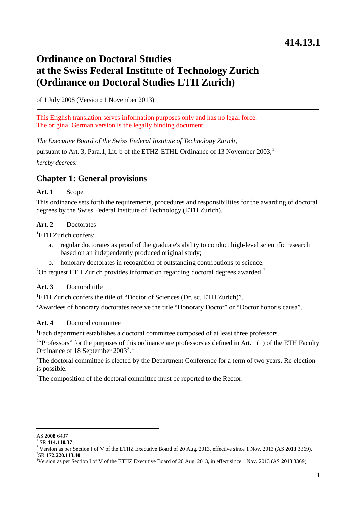# **Ordinance on Doctoral Studies at the Swiss Federal Institute of Technology Zurich (Ordinance on Doctoral Studies ETH Zurich)**

of 1 July 2008 (Version: 1 November 2013)

This English translation serves information purposes only and has no legal force. The original German version is the legally binding document.

*The Executive Board of the Swiss Federal Institute of Technology Zurich,*

pursuant to Art. 3, Para.[1](#page-0-0), Lit. b of the ETHZ-ETHL Ordinance of 13 November 2003,<sup>1</sup> *hereby decrees:*

# **Chapter 1: General provisions**

#### **Art. 1** Scope

This ordinance sets forth the requirements, procedures and responsibilities for the awarding of doctoral degrees by the Swiss Federal Institute of Technology (ETH Zurich).

#### **Art. 2** Doctorates

<sup>1</sup>ETH Zurich confers:

- regular doctorates as proof of the graduate's ability to conduct high-level scientific research based on an independently produced original study;
- b. honorary doctorates in recognition of outstanding contributions to science.

 $2$ On request ETH Zurich provides information regarding doctoral degrees awarded.<sup>2</sup>

#### **Art. 3** Doctoral title

<sup>1</sup>ETH Zurich confers the title of "Doctor of Sciences (Dr. sc. ETH Zurich)".

<sup>2</sup> Awardees of honorary doctorates receive the title "Honorary Doctor" or "Doctor honoris causa".

#### **Art. 4** Doctoral committee

1 Each department establishes a doctoral committee composed of at least three professors.

<sup>24</sup>Professors" for the purposes of this ordinance are professors as defined in Art. 1(1) of the ETH Faculty Ordinance of 18 September 200[3](#page-0-2)<sup>3</sup>.<sup>[4](#page-0-3)</sup>

<sup>3</sup>The doctoral committee is elected by the Department Conference for a term of two years. Re-election is possible.

<sup>4</sup>The composition of the doctoral committee must be reported to the Rector.

<span id="page-0-0"></span>AS **<sup>2008</sup>** <sup>6437</sup> <sup>1</sup> SR **414.110.37**

<span id="page-0-2"></span><span id="page-0-1"></span><sup>&</sup>lt;sup>2</sup> Version as per Section I of V of the ETHZ Executive Board of 20 Aug. 2013, effective since 1 Nov. 2013 (AS 2013 3369). <sup>3</sup>SR 172.220.113.40

<span id="page-0-3"></span>Version as per Section I of V of the ETHZ Executive Board of 20 Aug. 2013, in effect since 1 Nov. 2013 (AS **2013** 3369).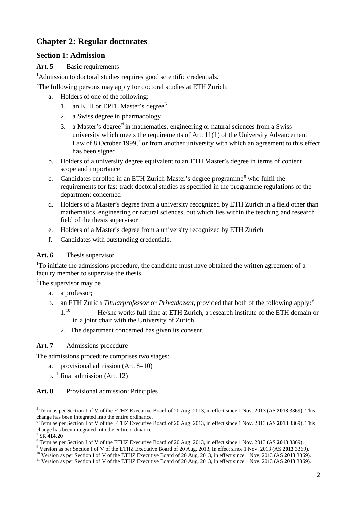# **Chapter 2: Regular doctorates**

# **Section 1: Admission**

#### **Art. 5** Basic requirements

<sup>1</sup>Admission to doctoral studies requires good scientific credentials.

<sup>2</sup>The following persons may apply for doctoral studies at ETH Zurich:

- a. Holders of one of the following:
	- 1. an ETH or EPFL Master's degree<sup>[5](#page-1-0)</sup>
	- 2. a Swiss degree in pharmacology
	- 3. a Master's degree<sup>[6](#page-1-1)</sup> in mathematics, engineering or natural sciences from a Swiss university which meets the requirements of Art. 11(1) of the University Advancement Law of 8 October 1999,  $\frac{7}{2}$  $\frac{7}{2}$  $\frac{7}{2}$  or from another university with which an agreement to this effect has been signed
- b. Holders of a university degree equivalent to an ETH Master's degree in terms of content, scope and importance
- c. Candidates enrolled in an ETH Zurich Master's degree programme<sup>[8](#page-1-3)</sup> who fulfil the requirements for fast-track doctoral studies as specified in the programme regulations of the department concerned
- d. Holders of a Master's degree from a university recognized by ETH Zurich in a field other than mathematics, engineering or natural sciences, but which lies within the teaching and research field of the thesis supervisor
- e. Holders of a Master's degree from a university recognized by ETH Zurich
- f. Candidates with outstanding credentials.

#### **Art. 6** Thesis supervisor

<sup>1</sup>To initiate the admissions procedure, the candidate must have obtained the written agreement of a faculty member to supervise the thesis.

<sup>2</sup>The supervisor may be

- a. a professor;
- b. an ETH Zurich *Titularprofessor* or *Privatdozent*, provided that both of the following apply:<sup>[9](#page-1-4)</sup>
	- 1.[10](#page-1-5) He/she works full-time at ETH Zurich, a research institute of the ETH domain or in a joint chair with the University of Zurich.
	- 2. The department concerned has given its consent.

#### **Art. 7** Admissions procedure

The admissions procedure comprises two stages:

- a. provisional admission (Art. 8–10)
- $b<sup>11</sup>$  $b<sup>11</sup>$  $b<sup>11</sup>$  final admission (Art. 12)

#### **Art. 8** Provisional admission: Principles

<span id="page-1-0"></span><sup>5</sup> Term as per Section I of V of the ETHZ Executive Board of 20 Aug. 2013, in effect since 1 Nov. 2013 (AS **2013** 3369). This change has been integrated into the entire ordinance.

<span id="page-1-1"></span><sup>6</sup> Term as per Section I of V of the ETHZ Executive Board of 20 Aug. 2013, in effect since 1 Nov. 2013 (AS **2013** 3369). This change has been integrated into the entire ordinance.<br><sup>7</sup> SR 414.20

<span id="page-1-3"></span><span id="page-1-2"></span><sup>8</sup> Term as per Section I of V of the ETHZ Executive Board of 20 Aug. 2013, in effect since 1 Nov. 2013 (AS **2013** 3369).<br><sup>9</sup> Version as per Section I of V of the ETHZ Executive Board of 20 Aug. 2013, in effect since 1 Nov.

<span id="page-1-4"></span>

<span id="page-1-6"></span><span id="page-1-5"></span><sup>&</sup>lt;sup>10</sup> Version as per Section I of V of the ETHZ Executive Board of 20 Aug. 2013, in effect since 1 Nov. 2013 (AS 2013 3369).<br><sup>11</sup> Version as per Section I of V of the ETHZ Executive Board of 20 Aug. 2013, in effect since 1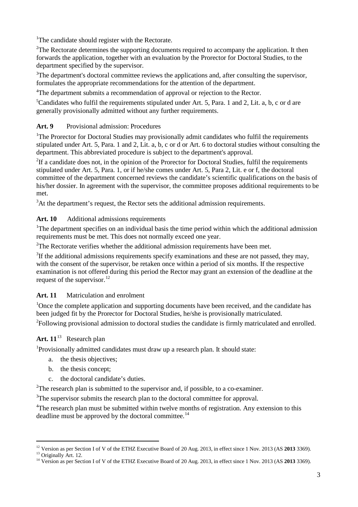<sup>1</sup>The candidate should register with the Rectorate.

<sup>2</sup>The Rectorate determines the supporting documents required to accompany the application. It then forwards the application, together with an evaluation by the Prorector for Doctoral Studies, to the department specified by the supervisor.

<sup>3</sup>The department's doctoral committee reviews the applications and, after consulting the supervisor, formulates the appropriate recommendations for the attention of the department.

<sup>4</sup>The department submits a recommendation of approval or rejection to the Rector.

5 Candidates who fulfil the requirements stipulated under Art. 5, Para. 1 and 2, Lit. a, b, c or d are generally provisionally admitted without any further requirements.

#### **Art. 9** Provisional admission: Procedures

<sup>1</sup>The Prorector for Doctoral Studies may provisionally admit candidates who fulfil the requirements stipulated under Art. 5, Para. 1 and 2, Lit. a, b, c or d or Art. 6 to doctoral studies without consulting the department. This abbreviated procedure is subject to the department's approval.

<sup>2</sup>If a candidate does not, in the opinion of the Prorector for Doctoral Studies, fulfil the requirements stipulated under Art. 5, Para. 1, or if he/she comes under Art. 5, Para 2, Lit. e or f, the doctoral committee of the department concerned reviews the candidate's scientific qualifications on the basis of his/her dossier. In agreement with the supervisor, the committee proposes additional requirements to be met.

<sup>3</sup>At the department's request, the Rector sets the additional admission requirements.

#### **Art. 10** Additional admissions requirements

<sup>1</sup>The department specifies on an individual basis the time period within which the additional admission requirements must be met. This does not normally exceed one year.

<sup>2</sup>The Rectorate verifies whether the additional admission requirements have been met.

 $3$ If the additional admissions requirements specify examinations and these are not passed, they may, with the consent of the supervisor, be retaken once within a period of six months. If the respective examination is not offered during this period the Rector may grant an extension of the deadline at the request of the supervisor.<sup>[12](#page-2-0)</sup>

#### **Art. 11** Matriculation and enrolment

<sup>1</sup>Once the complete application and supporting documents have been received, and the candidate has been judged fit by the Prorector for Doctoral Studies, he/she is provisionally matriculated. <sup>2</sup>Following provisional admission to doctoral studies the candidate is firmly matriculated and enrolled.

### Art.  $11^{13}$  $11^{13}$  $11^{13}$  Research plan

<sup>1</sup>Provisionally admitted candidates must draw up a research plan. It should state:

- a. the thesis objectives;
- b. the thesis concept;
- c. the doctoral candidate's duties.

<sup>2</sup>The research plan is submitted to the supervisor and, if possible, to a co-examiner.

<sup>3</sup>The supervisor submits the research plan to the doctoral committee for approval.

<sup>4</sup>The research plan must be submitted within twelve months of registration. Any extension to this deadline must be approved by the doctoral committee.<sup>[14](#page-2-2)</sup>

<span id="page-2-0"></span><sup>&</sup>lt;sup>12</sup> Version as per Section I of V of the ETHZ Executive Board of 20 Aug. 2013, in effect since 1 Nov. 2013 (AS 2013 3369).

<span id="page-2-2"></span><span id="page-2-1"></span><sup>&</sup>lt;sup>13</sup> Originally Art. 12.<br><sup>14</sup> Version as per Section I of V of the ETHZ Executive Board of 20 Aug. 2013, in effect since 1 Nov. 2013 (AS 2013 3369).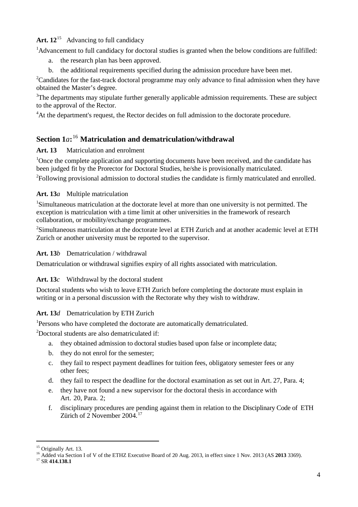# **Art. 12**[15](#page-3-0) Advancing to full candidacy

1 Advancement to full candidacy for doctoral studies is granted when the below conditions are fulfilled:

- a. the research plan has been approved.
- b. the additional requirements specified during the admission procedure have been met.

2 Candidates for the fast-track doctoral programme may only advance to final admission when they have obtained the Master's degree.

<sup>3</sup>The departments may stipulate further generally applicable admission requirements. These are subject to the approval of the Rector.

<sup>4</sup>At the department's request, the Rector decides on full admission to the doctorate procedure.

# **Section 1***a***:** [16](#page-3-1) **Matriculation and dematriculation/withdrawal**

### **Art. 13** Matriculation and enrolment

<sup>1</sup>Once the complete application and supporting documents have been received, and the candidate has been judged fit by the Prorector for Doctoral Studies, he/she is provisionally matriculated.

<sup>2</sup>Following provisional admission to doctoral studies the candidate is firmly matriculated and enrolled.

### **Art. 13***a* Multiple matriculation

<sup>1</sup>Simultaneous matriculation at the doctorate level at more than one university is not permitted. The exception is matriculation with a time limit at other universities in the framework of research collaboration, or mobility/exchange programmes.

2 Simultaneous matriculation at the doctorate level at ETH Zurich and at another academic level at ETH Zurich or another university must be reported to the supervisor.

#### **Art. 13***b* Dematriculation / withdrawal

Dematriculation or withdrawal signifies expiry of all rights associated with matriculation.

### **Art. 13***c* Withdrawal by the doctoral student

Doctoral students who wish to leave ETH Zurich before completing the doctorate must explain in writing or in a personal discussion with the Rectorate why they wish to withdraw.

### **Art. 13***d* Dematriculation by ETH Zurich

<sup>1</sup>Persons who have completed the doctorate are automatically dematriculated.

2 Doctoral students are also dematriculated if:

- a. they obtained admission to doctoral studies based upon false or incomplete data;
- b. they do not enrol for the semester;
- c. they fail to respect payment deadlines for tuition fees, obligatory semester fees or any other fees;
- d. they fail to respect the deadline for the doctoral examination as set out in Art. 27, Para. 4;
- e. they have not found a new supervisor for the doctoral thesis in accordance with Art. 20, Para. 2;
- f. disciplinary procedures are pending against them in relation to the Disciplinary Code of ETH Zürich of 2 November 2004.<sup>[17](#page-3-2)</sup>

<span id="page-3-1"></span><span id="page-3-0"></span><sup>&</sup>lt;sup>15</sup> Originally Art. 13.<br><sup>16</sup> Added via Section I of V of the ETHZ Executive Board of 20 Aug. 2013, in effect since 1 Nov. 2013 (AS **2013** 3369).<br><sup>17</sup> SR **414.138.1** 

<span id="page-3-2"></span>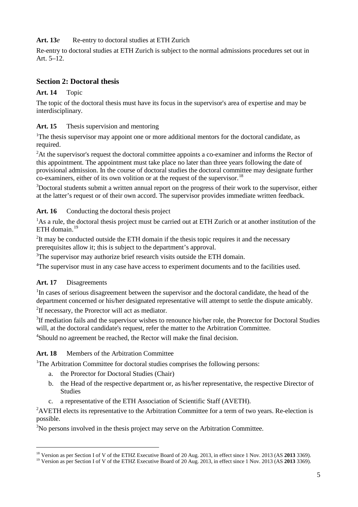#### **Art. 13***e* Re-entry to doctoral studies at ETH Zurich

Re-entry to doctoral studies at ETH Zurich is subject to the normal admissions procedures set out in Art.  $5-12$ .

### **Section 2: Doctoral thesis**

#### **Art. 14** Topic

The topic of the doctoral thesis must have its focus in the supervisor's area of expertise and may be interdisciplinary.

#### **Art. 15** Thesis supervision and mentoring

<sup>1</sup>The thesis supervisor may appoint one or more additional mentors for the doctoral candidate, as required.

<sup>2</sup>At the supervisor's request the doctoral committee appoints a co-examiner and informs the Rector of this appointment. The appointment must take place no later than three years following the date of provisional admission. In the course of doctoral studies the doctoral committee may designate further  $\frac{18}{10}$  $\frac{18}{10}$  $\frac{18}{10}$  co-examiners, either of its own volition or at the request of the supervisor.<sup>18</sup>

<sup>3</sup>Doctoral students submit a written annual report on the progress of their work to the supervisor, either at the latter's request or of their own accord. The supervisor provides immediate written feedback.

#### Art. 16 Conducting the doctoral thesis project

<sup>1</sup>As a rule, the doctoral thesis project must be carried out at ETH Zurich or at another institution of the ETH domain. $19$ 

 $2$ It may be conducted outside the ETH domain if the thesis topic requires it and the necessary prerequisites allow it; this is subject to the department's approval.

<sup>3</sup>The supervisor may authorize brief research visits outside the ETH domain.

<sup>4</sup>The supervisor must in any case have access to experiment documents and to the facilities used.

#### **Art. 17** Disagreements

 $\overline{a}$ 

<sup>1</sup>In cases of serious disagreement between the supervisor and the doctoral candidate, the head of the department concerned or his/her designated representative will attempt to settle the dispute amicably.

<sup>2</sup>If necessary, the Prorector will act as mediator.

<sup>3</sup>If mediation fails and the supervisor wishes to renounce his/her role, the Prorector for Doctoral Studies will, at the doctoral candidate's request, refer the matter to the Arbitration Committee.

4 Should no agreement be reached, the Rector will make the final decision.

# **Art. 18** Members of the Arbitration Committee

<sup>1</sup>The Arbitration Committee for doctoral studies comprises the following persons:

- a. the Prorector for Doctoral Studies (Chair)
- b. the Head of the respective department or, as his/her representative, the respective Director of Studies
- c. a representative of the ETH Association of Scientific Staff (AVETH).

<sup>2</sup> AVETH elects its representative to the Arbitration Committee for a term of two years. Re-election is possible.

<sup>3</sup>No persons involved in the thesis project may serve on the Arbitration Committee.

<span id="page-4-0"></span><sup>&</sup>lt;sup>18</sup> Version as per Section I of V of the ETHZ Executive Board of 20 Aug. 2013, in effect since 1 Nov. 2013 (AS 2013 3369).<br><sup>19</sup> Version as per Section I of V of the ETHZ Executive Board of 20 Aug. 2013, in effect since 1

<span id="page-4-1"></span>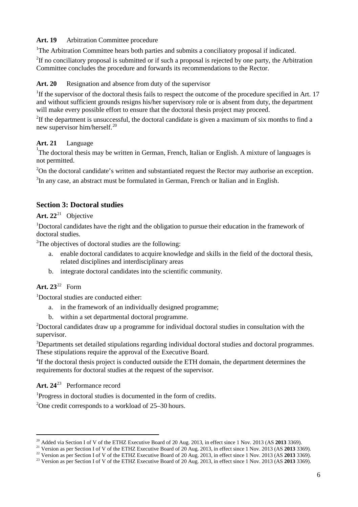#### **Art. 19** Arbitration Committee procedure

<sup>1</sup>The Arbitration Committee hears both parties and submits a conciliatory proposal if indicated.

<sup>2</sup>If no conciliatory proposal is submitted or if such a proposal is rejected by one party, the Arbitration Committee concludes the procedure and forwards its recommendations to the Rector.

#### **Art. 20** Resignation and absence from duty of the supervisor

<sup>1</sup>If the supervisor of the doctoral thesis fails to respect the outcome of the procedure specified in Art. 17 and without sufficient grounds resigns his/her supervisory role or is absent from duty, the department will make every possible effort to ensure that the doctoral thesis project may proceed.

<sup>2</sup>If the department is unsuccessful, the doctoral candidate is given a maximum of six months to find a new supervisor him/herself.<sup>[20](#page-5-0)</sup>

**Art. 21** Language<br><sup>1</sup>The doctoral thesis may be written in German, French, Italian or English. A mixture of languages is not permitted.

<sup>2</sup>On the doctoral candidate's written and substantiated request the Rector may authorise an exception.

<sup>3</sup>In any case, an abstract must be formulated in German, French or Italian and in English.

# **Section 3: Doctoral studies**

# **Art. 22**[21](#page-5-1) Objective

<sup>1</sup>Doctoral candidates have the right and the obligation to pursue their education in the framework of doctoral studies.

<sup>2</sup>The objectives of doctoral studies are the following:

- a. enable doctoral candidates to acquire knowledge and skills in the field of the doctoral thesis, related disciplines and interdisciplinary areas
- b. integrate doctoral candidates into the scientific community.

# **Art. 23**[22](#page-5-2) Form

 $\overline{a}$ 

1 Doctoral studies are conducted either:

- a. in the framework of an individually designed programme;
- b. within a set departmental doctoral programme.

 $2$ Doctoral candidates draw up a programme for individual doctoral studies in consultation with the supervisor.

3 Departments set detailed stipulations regarding individual doctoral studies and doctoral programmes. These stipulations require the approval of the Executive Board.

<sup>4</sup>If the doctoral thesis project is conducted outside the ETH domain, the department determines the requirements for doctoral studies at the request of the supervisor.

**Art. 24**[23](#page-5-3) Performance record

1 Progress in doctoral studies is documented in the form of credits.

<sup>2</sup>One credit corresponds to a workload of 25-30 hours.

<span id="page-5-0"></span><sup>&</sup>lt;sup>20</sup> Added via Section I of V of the ETHZ Executive Board of 20 Aug. 2013, in effect since 1 Nov. 2013 (AS **2013** 3369).<br><sup>21</sup> Version as per Section I of V of the ETHZ Executive Board of 20 Aug. 2013, in effect since 1 Nov

<span id="page-5-3"></span>

<span id="page-5-2"></span><span id="page-5-1"></span><sup>&</sup>lt;sup>22</sup> Version as per Section I of V of the ETHZ Executive Board of 20 Aug. 2013, in effect since 1 Nov. 2013 (AS 2013 3369).<br><sup>23</sup> Version as per Section I of V of the ETHZ Executive Board of 20 Aug. 2013, in effect since 1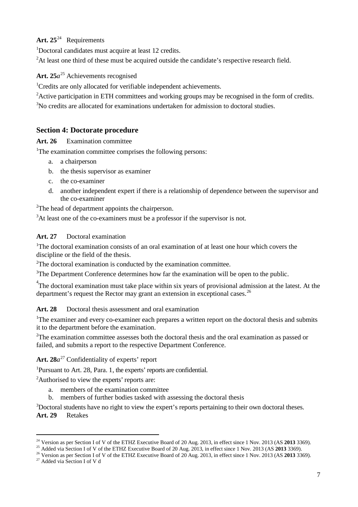# **Art. 25**[24](#page-6-0) Requirements

1 Doctoral candidates must acquire at least 12 credits.

<sup>2</sup>At least one third of these must be acquired outside the candidate's respective research field.

# **Art. 25***a*[25](#page-6-1) Achievements recognised

<sup>1</sup>Credits are only allocated for verifiable independent achievements.

2 Active participation in ETH committees and working groups may be recognised in the form of credits.

<sup>3</sup>No credits are allocated for examinations undertaken for admission to doctoral studies.

# **Section 4: Doctorate procedure**

#### **Art. 26** Examination committee

<sup>1</sup>The examination committee comprises the following persons:

- a. a chairperson
- b. the thesis supervisor as examiner
- c. the co-examiner
- d. another independent expert if there is a relationship of dependence between the supervisor and the co-examiner

<sup>2</sup>The head of department appoints the chairperson.

<sup>3</sup>At least one of the co-examiners must be a professor if the supervisor is not.

#### **Art. 27** Doctoral examination

<sup>1</sup>The doctoral examination consists of an oral examination of at least one hour which covers the discipline or the field of the thesis.

 $2$ The doctoral examination is conducted by the examination committee.

<sup>3</sup>The Department Conference determines how far the examination will be open to the public.

<sup>4</sup>The doctoral examination must take place within six years of provisional admission at the latest. At the department's request the Rector may grant an extension in exceptional cases.<sup>[26](#page-6-2)</sup>

#### **Art. 28** Doctoral thesis assessment and oral examination

1 The examiner and every co-examiner each prepares a written report on the doctoral thesis and submits it to the department before the examination.

<sup>2</sup>The examination committee assesses both the doctoral thesis and the oral examination as passed or failed, and submits a report to the respective Department Conference.

Art.  $28a^{27}$  $28a^{27}$  $28a^{27}$  Confidentiality of experts' report

1 Pursuant to Art. 28, Para. 1, the experts' reports are confidential.

<sup>2</sup>Authorised to view the experts' reports are:

- a. members of the examination committee
- b. members of further bodies tasked with assessing the doctoral thesis

<sup>3</sup>Doctoral students have no right to view the expert's reports pertaining to their own doctoral theses.

**Art. 29** Retakes

<span id="page-6-0"></span><sup>&</sup>lt;sup>24</sup> Version as per Section I of V of the ETHZ Executive Board of 20 Aug. 2013, in effect since 1 Nov. 2013 (AS **2013** 3369).<br><sup>25</sup> Added via Section I of V of the ETHZ Executive Board of 20 Aug. 2013, in effect since 1 Nov

<span id="page-6-3"></span><span id="page-6-2"></span><span id="page-6-1"></span><sup>&</sup>lt;sup>26</sup> Version as per Section I of V of the ETHZ Executive Board of 20 Aug. 2013, in effect since 1 Nov. 2013 (AS 2013 3369).<br><sup>27</sup> Added via Section I of V d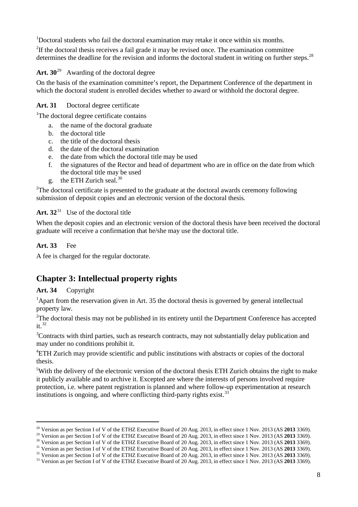<sup>1</sup>Doctoral students who fail the doctoral examination may retake it once within six months.

<sup>2</sup>If the doctoral thesis receives a fail grade it may be revised once. The examination committee determines the deadline for the revision and informs the doctoral student in writing on further steps.<sup>[28](#page-7-0)</sup>

#### **Art. 30**[29](#page-7-1) Awarding of the doctoral degree

On the basis of the examination committee's report, the Department Conference of the department in which the doctoral student is enrolled decides whether to award or withhold the doctoral degree.

#### **Art. 31** Doctoral degree certificate

<sup>1</sup>The doctoral degree certificate contains

- a. the name of the doctoral graduate
- b. the doctoral title
- c. the title of the doctoral thesis
- d. the date of the doctoral examination
- e. the date from which the doctoral title may be used
- f. the signatures of the Rector and head of department who are in office on the date from which the doctoral title may be used
- g. the ETH Zurich seal.<sup>[30](#page-7-2)</sup>

<sup>2</sup>The doctoral certificate is presented to the graduate at the doctoral awards ceremony following submission of deposit copies and an electronic version of the doctoral thesis.

# **Art. 32**[31](#page-7-3) Use of the doctoral title

When the deposit copies and an electronic version of the doctoral thesis have been received the doctoral graduate will receive a confirmation that he/she may use the doctoral title.

#### **Art. 33** Fee

A fee is charged for the regular doctorate.

# **Chapter 3: Intellectual property rights**

#### **Art. 34** Copyright

<sup>1</sup> Apart from the reservation given in Art. 35 the doctoral thesis is governed by general intellectual property law.

<sup>2</sup>The doctoral thesis may not be published in its entirety until the Department Conference has accepted it. [32](#page-7-4)

<sup>3</sup>Contracts with third parties, such as research contracts, may not substantially delay publication and may under no conditions prohibit it.

4 ETH Zurich may provide scientific and public institutions with abstracts or copies of the doctoral thesis.

<sup>5</sup>With the delivery of the electronic version of the doctoral thesis ETH Zurich obtains the right to make it publicly available and to archive it. Excepted are where the interests of persons involved require protection, i.e. where patent registration is planned and where follow-up experimentation at research institutions is ongoing, and where conflicting third-party rights exist.<sup>[33](#page-7-5)</sup>

<span id="page-7-0"></span><sup>&</sup>lt;sup>28</sup> Version as per Section I of V of the ETHZ Executive Board of 20 Aug. 2013, in effect since 1 Nov. 2013 (AS 2013 3369).

<span id="page-7-2"></span><span id="page-7-1"></span><sup>&</sup>lt;sup>29</sup> Version as per Section I of V of the ETHZ Executive Board of 20 Aug. 2013, in effect since 1 Nov. 2013 (AS 2013 3369).<br><sup>30</sup> Version as per Section I of V of the ETHZ Executive Board of 20 Aug. 2013, in effect since 1

<span id="page-7-3"></span><sup>&</sup>lt;sup>32</sup> Version as per Section I of V of the ETHZ Executive Board of 20 Aug. 2013, in effect since 1 Nov. 2013 (AS 2013 3369).<br><sup>33</sup> Version as per Section I of V of the ETHZ Executive Board of 20 Aug. 2013, in effect since 1

<span id="page-7-5"></span><span id="page-7-4"></span>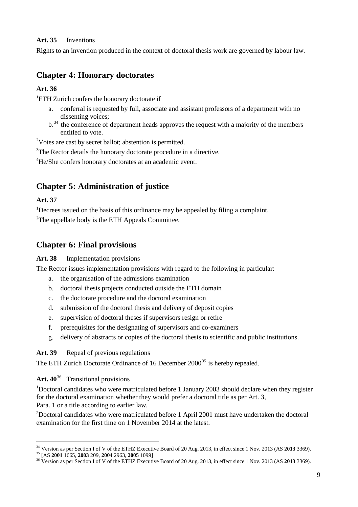#### **Art. 35** Inventions

Rights to an invention produced in the context of doctoral thesis work are governed by labour law.

# **Chapter 4: Honorary doctorates**

### **Art. 36**

<sup>1</sup>ETH Zurich confers the honorary doctorate if

- a. conferral is requested by full, associate and assistant professors of a department with no dissenting voices;
- b.<sup>[34](#page-8-0)</sup> the conference of department heads approves the request with a majority of the members entitled to vote.

<sup>2</sup>Votes are cast by secret ballot; abstention is permitted.

<sup>3</sup>The Rector details the honorary doctorate procedure in a directive.

4 He/She confers honorary doctorates at an academic event.

# **Chapter 5: Administration of justice**

# **Art. 37**

 $\overline{a}$ 

<sup>1</sup>Decrees issued on the basis of this ordinance may be appealed by filing a complaint. <sup>2</sup>The appellate body is the ETH Appeals Committee.

# **Chapter 6: Final provisions**

### **Art. 38** Implementation provisions

The Rector issues implementation provisions with regard to the following in particular:

- the organisation of the admissions examination
- b. doctoral thesis projects conducted outside the ETH domain
- c. the doctorate procedure and the doctoral examination
- d. submission of the doctoral thesis and delivery of deposit copies
- e. supervision of doctoral theses if supervisors resign or retire
- f. prerequisites for the designating of supervisors and co-examiners
- g. delivery of abstracts or copies of the doctoral thesis to scientific and public institutions.

# **Art. 39** Repeal of previous regulations

The ETH Zurich Doctorate Ordinance of 16 December 2000<sup>[35](#page-8-1)</sup> is hereby repealed.

**Art. 40**[36](#page-8-2) Transitional provisions

<sup>1</sup>Doctoral candidates who were matriculated before 1 January 2003 should declare when they register for the doctoral examination whether they would prefer a doctoral title as per Art. 3, Para. 1 or a title according to earlier law.

<sup>2</sup>Doctoral candidates who were matriculated before 1 April 2001 must have undertaken the doctoral examination for the first time on 1 November 2014 at the latest.

<span id="page-8-1"></span><span id="page-8-0"></span><sup>&</sup>lt;sup>34</sup> Version as per Section I of V of the ETHZ Executive Board of 20 Aug. 2013, in effect since 1 Nov. 2013 (AS 2013 3369).<br><sup>35</sup> [AS 2001 1665, 2003 209, 2004 2963, 2005 1099]<br><sup>36</sup> Version as per Section I of V of the ETH

<span id="page-8-2"></span>